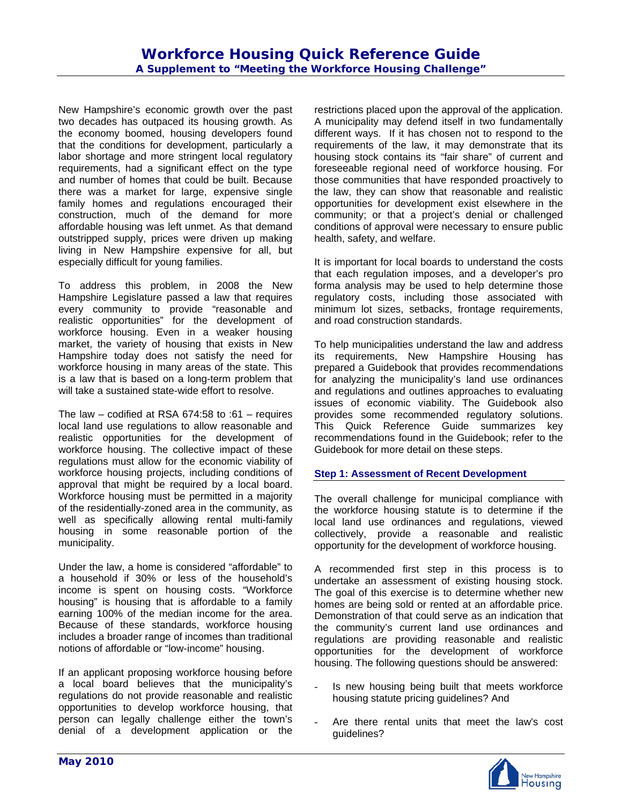New Hampshire's economic growth over the past two decades has outpaced its housing growth. As the economy boomed, housing developers found that the conditions for development, particularly a labor shortage and more stringent local regulatory requirements, had a significant effect on the type and number of homes that could be built. Because there was a market for large, expensive single family homes and regulations encouraged their construction, much of the demand for more affordable housing was left unmet. As that demand outstripped supply, prices were driven up making living in New Hampshire expensive for all, but especially difficult for young families.

To address this problem, in 2008 the New Hampshire Legislature passed a law that requires every community to provide "reasonable and realistic opportunities" for the development of workforce housing. Even in a weaker housing market, the variety of housing that exists in New Hampshire today does not satisfy the need for workforce housing in many areas of the state. This is a law that is based on a long-term problem that will take a sustained state-wide effort to resolve.

The law – codified at RSA 674:58 to :61 – requires local land use regulations to allow reasonable and realistic opportunities for the development of workforce housing. The collective impact of these regulations must allow for the economic viability of workforce housing projects, including conditions of approval that might be required by a local board. Workforce housing must be permitted in a majority of the residentially-zoned area in the community, as well as specifically allowing rental multi-family housing in some reasonable portion of the municipality.

Under the law, a home is considered "affordable" to a household if 30% or less of the household's income is spent on housing costs. "Workforce housing" is housing that is affordable to a family earning 100% of the median income for the area. Because of these standards, workforce housing includes a broader range of incomes than traditional notions of affordable or "low-income" housing.

If an applicant proposing workforce housing before a local board believes that the municipality's regulations do not provide reasonable and realistic opportunities to develop workforce housing, that person can legally challenge either the town's denial of a development application or the

restrictions placed upon the approval of the application. A municipality may defend itself in two fundamentally different ways. If it has chosen not to respond to the requirements of the law, it may demonstrate that its housing stock contains its "fair share" of current and foreseeable regional need of workforce housing. For those communities that have responded proactively to the law, they can show that reasonable and realistic opportunities for development exist elsewhere in the community; or that a project's denial or challenged conditions of approval were necessary to ensure public health, safety, and welfare.

It is important for local boards to understand the costs that each regulation imposes, and a developer's pro forma analysis may be used to help determine those regulatory costs, including those associated with minimum lot sizes, setbacks, frontage requirements, and road construction standards.

To help municipalities understand the law and address its requirements, New Hampshire Housing has prepared a Guidebook that provides recommendations for analyzing the municipality's land use ordinances and regulations and outlines approaches to evaluating issues of economic viability. The Guidebook also provides some recommended regulatory solutions. This Quick Reference Guide summarizes key recommendations found in the Guidebook; refer to the Guidebook for more detail on these steps.

# **Step 1: Assessment of Recent Development**

The overall challenge for municipal compliance with the workforce housing statute is to determine if the local land use ordinances and regulations, viewed collectively, provide a reasonable and realistic opportunity for the development of workforce housing.

A recommended first step in this process is to undertake an assessment of existing housing stock. The goal of this exercise is to determine whether new homes are being sold or rented at an affordable price. Demonstration of that could serve as an indication that the community's current land use ordinances and regulations are providing reasonable and realistic opportunities for the development of workforce housing. The following questions should be answered:

- Is new housing being built that meets workforce housing statute pricing guidelines? And
- Are there rental units that meet the law's cost guidelines?

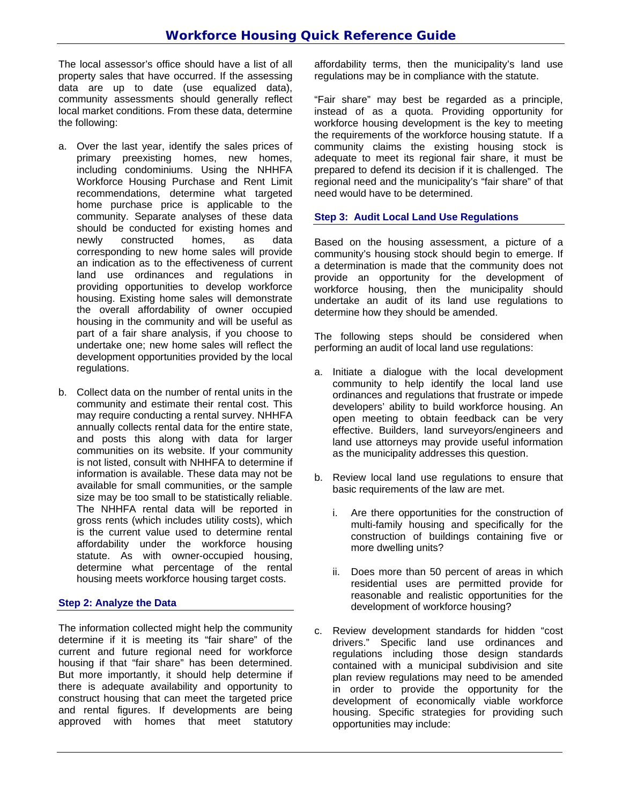The local assessor's office should have a list of all property sales that have occurred. If the assessing data are up to date (use equalized data), community assessments should generally reflect local market conditions. From these data, determine the following:

- a. Over the last year, identify the sales prices of primary preexisting homes, new homes, including condominiums. Using the NHHFA Workforce Housing Purchase and Rent Limit recommendations, determine what targeted home purchase price is applicable to the community. Separate analyses of these data should be conducted for existing homes and newly constructed homes, as data corresponding to new home sales will provide an indication as to the effectiveness of current land use ordinances and regulations in providing opportunities to develop workforce housing. Existing home sales will demonstrate the overall affordability of owner occupied housing in the community and will be useful as part of a fair share analysis, if you choose to undertake one; new home sales will reflect the development opportunities provided by the local regulations.
- b. Collect data on the number of rental units in the community and estimate their rental cost. This may require conducting a rental survey. NHHFA annually collects rental data for the entire state, and posts this along with data for larger communities on its website. If your community is not listed, consult with NHHFA to determine if information is available. These data may not be available for small communities, or the sample size may be too small to be statistically reliable. The NHHFA rental data will be reported in gross rents (which includes utility costs), which is the current value used to determine rental affordability under the workforce housing statute. As with owner-occupied housing, determine what percentage of the rental housing meets workforce housing target costs.

# **Step 2: Analyze the Data**

The information collected might help the community determine if it is meeting its "fair share" of the current and future regional need for workforce housing if that "fair share" has been determined. But more importantly, it should help determine if there is adequate availability and opportunity to construct housing that can meet the targeted price and rental figures. If developments are being approved with homes that meet statutory affordability terms, then the municipality's land use regulations may be in compliance with the statute.

"Fair share" may best be regarded as a principle, instead of as a quota. Providing opportunity for workforce housing development is the key to meeting the requirements of the workforce housing statute. If a community claims the existing housing stock is adequate to meet its regional fair share, it must be prepared to defend its decision if it is challenged. The regional need and the municipality's "fair share" of that need would have to be determined.

# **Step 3: Audit Local Land Use Regulations**

Based on the housing assessment, a picture of a community's housing stock should begin to emerge. If a determination is made that the community does not provide an opportunity for the development of workforce housing, then the municipality should undertake an audit of its land use regulations to determine how they should be amended.

The following steps should be considered when performing an audit of local land use regulations:

- a. Initiate a dialogue with the local development community to help identify the local land use ordinances and regulations that frustrate or impede developers' ability to build workforce housing. An open meeting to obtain feedback can be very effective. Builders, land surveyors/engineers and land use attorneys may provide useful information as the municipality addresses this question.
- b. Review local land use regulations to ensure that basic requirements of the law are met.
	- i. Are there opportunities for the construction of multi-family housing and specifically for the construction of buildings containing five or more dwelling units?
	- ii. Does more than 50 percent of areas in which residential uses are permitted provide for reasonable and realistic opportunities for the development of workforce housing?
- c. Review development standards for hidden "cost drivers." Specific land use ordinances and regulations including those design standards contained with a municipal subdivision and site plan review regulations may need to be amended in order to provide the opportunity for the development of economically viable workforce housing. Specific strategies for providing such opportunities may include: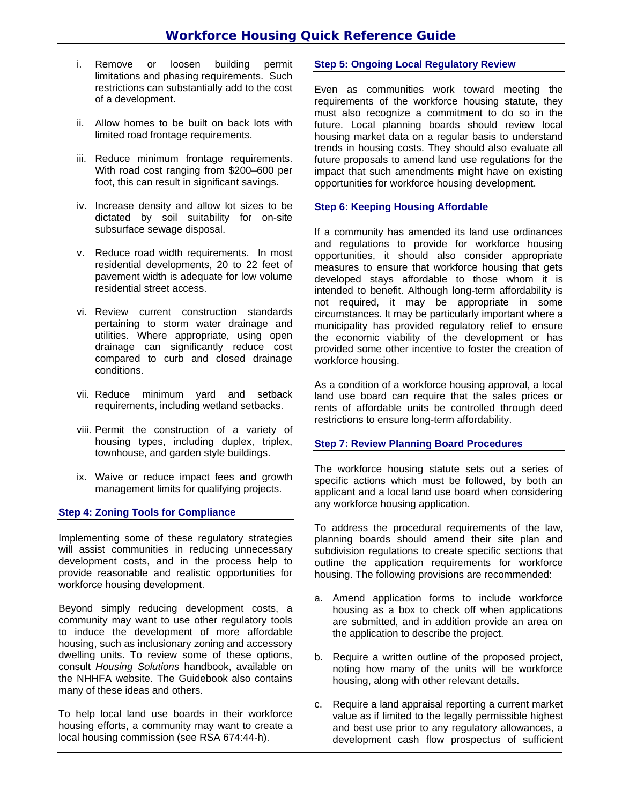- i. Remove or loosen building permit limitations and phasing requirements. Such restrictions can substantially add to the cost of a development.
- ii. Allow homes to be built on back lots with limited road frontage requirements.
- iii. Reduce minimum frontage requirements. With road cost ranging from \$200–600 per foot, this can result in significant savings.
- iv. Increase density and allow lot sizes to be dictated by soil suitability for on-site subsurface sewage disposal.
- v. Reduce road width requirements. In most residential developments, 20 to 22 feet of pavement width is adequate for low volume residential street access.
- vi. Review current construction standards pertaining to storm water drainage and utilities. Where appropriate, using open drainage can significantly reduce cost compared to curb and closed drainage conditions.
- vii. Reduce minimum yard and setback requirements, including wetland setbacks.
- viii. Permit the construction of a variety of housing types, including duplex, triplex, townhouse, and garden style buildings.
- ix. Waive or reduce impact fees and growth management limits for qualifying projects.

#### **Step 4: Zoning Tools for Compliance**

Implementing some of these regulatory strategies will assist communities in reducing unnecessary development costs, and in the process help to provide reasonable and realistic opportunities for workforce housing development.

Beyond simply reducing development costs, a community may want to use other regulatory tools to induce the development of more affordable housing, such as inclusionary zoning and accessory dwelling units. To review some of these options, consult *Housing Solutions* handbook, available on the NHHFA website. The Guidebook also contains many of these ideas and others.

To help local land use boards in their workforce housing efforts, a community may want to create a local housing commission (see RSA 674:44-h).

## **Step 5: Ongoing Local Regulatory Review**

Even as communities work toward meeting the requirements of the workforce housing statute, they must also recognize a commitment to do so in the future. Local planning boards should review local housing market data on a regular basis to understand trends in housing costs. They should also evaluate all future proposals to amend land use regulations for the impact that such amendments might have on existing opportunities for workforce housing development.

## **Step 6: Keeping Housing Affordable**

If a community has amended its land use ordinances and regulations to provide for workforce housing opportunities, it should also consider appropriate measures to ensure that workforce housing that gets developed stays affordable to those whom it is intended to benefit. Although long-term affordability is not required, it may be appropriate in some circumstances. It may be particularly important where a municipality has provided regulatory relief to ensure the economic viability of the development or has provided some other incentive to foster the creation of workforce housing.

As a condition of a workforce housing approval, a local land use board can require that the sales prices or rents of affordable units be controlled through deed restrictions to ensure long-term affordability.

#### **Step 7: Review Planning Board Procedures**

The workforce housing statute sets out a series of specific actions which must be followed, by both an applicant and a local land use board when considering any workforce housing application.

To address the procedural requirements of the law, planning boards should amend their site plan and subdivision regulations to create specific sections that outline the application requirements for workforce housing. The following provisions are recommended:

- a. Amend application forms to include workforce housing as a box to check off when applications are submitted, and in addition provide an area on the application to describe the project.
- b. Require a written outline of the proposed project, noting how many of the units will be workforce housing, along with other relevant details.
- c. Require a land appraisal reporting a current market value as if limited to the legally permissible highest and best use prior to any regulatory allowances, a development cash flow prospectus of sufficient